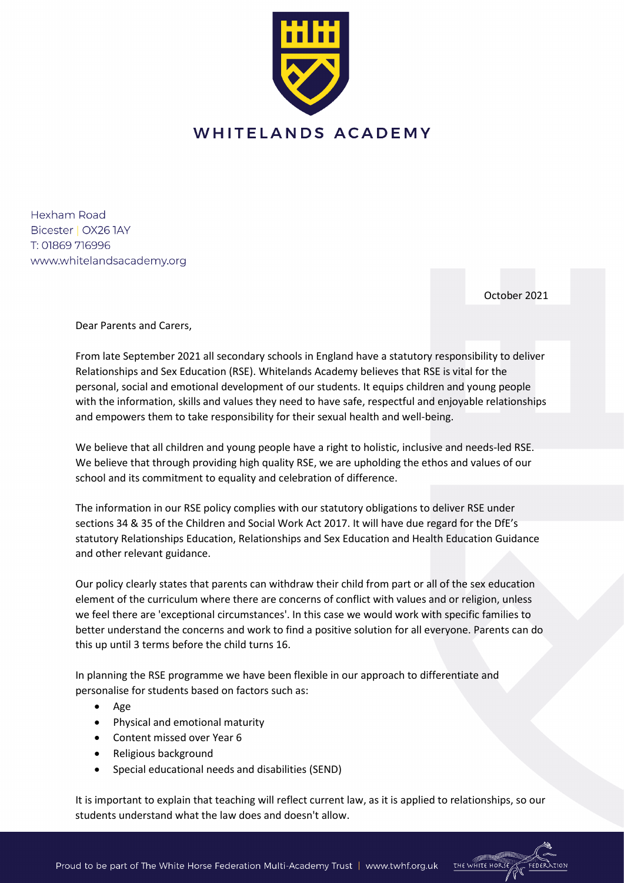

Hexham Road Bicester | OX26 1AY T: 01869 716996 www.whitelandsacademy.org

October 2021

Dear Parents and Carers,

From late September 2021 all secondary schools in England have a statutory responsibility to deliver Relationships and Sex Education (RSE). Whitelands Academy believes that RSE is vital for the personal, social and emotional development of our students. It equips children and young people with the information, skills and values they need to have safe, respectful and enjoyable relationships and empowers them to take responsibility for their sexual health and well-being.

We believe that all children and young people have a right to holistic, inclusive and needs-led RSE. We believe that through providing high quality RSE, we are upholding the ethos and values of our school and its commitment to equality and celebration of difference.

The information in our RSE policy complies with our statutory obligations to deliver RSE under sections 34 & 35 of the Children and Social Work Act 2017. It will have due regard for the DfE's statutory Relationships Education, Relationships and Sex Education and Health Education Guidance and other relevant guidance.

Our policy clearly states that parents can withdraw their child from part or all of the sex education element of the curriculum where there are concerns of conflict with values and or religion, unless we feel there are 'exceptional circumstances'. In this case we would work with specific families to better understand the concerns and work to find a positive solution for all everyone. Parents can do this up until 3 terms before the child turns 16.

In planning the RSE programme we have been flexible in our approach to differentiate and personalise for students based on factors such as:

- Age
- Physical and emotional maturity
- Content missed over Year 6
- Religious background
- Special educational needs and disabilities (SEND)

It is important to explain that teaching will reflect current law, as it is applied to relationships, so our students understand what the law does and doesn't allow.



Proud to be part of The White Horse Federation Multi-Academy Trust | www.twhf.org.uk